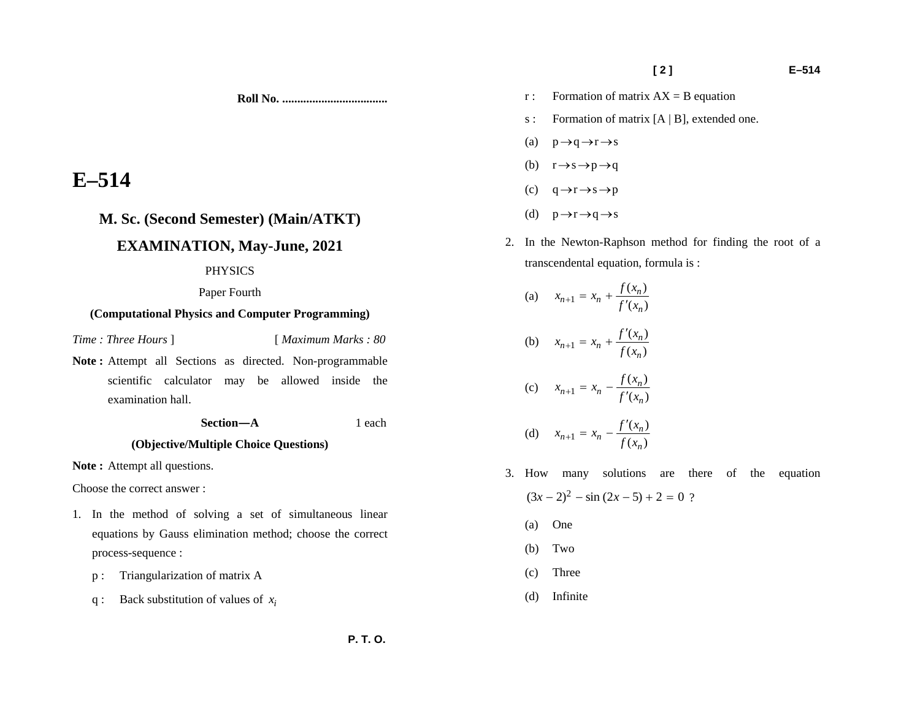**[ 2 ] E–514** 

- r : Formation of matrix  $AX = B$  equation
	- s : Formation of matrix [A | B], extended one.
	- (a)  $p \rightarrow q \rightarrow r \rightarrow s$
	- (b)  $r \rightarrow s \rightarrow p \rightarrow q$
	- (c)  $q \rightarrow r \rightarrow s \rightarrow p$
	- (d)  $p \rightarrow r \rightarrow q \rightarrow s$
	- 2. In the Newton-Raphson method for finding the root of a transcendental equation, formula is :

(a)  $x_{n+1} = x_n + \frac{f(x_n)}{f'(x_n)}$ (b)  $x_{n+1} = x_n + \frac{f'(x_n)}{f(x_n)}$ (c)  $x_{n+1} = x_n - \frac{f(x_n)}{f'(x_n)}$ (d)  $x_{n+1} = x_n - \frac{f'(x_n)}{f(x_n)}$ 

- 3. How many solutions are there of the equation  $(3x - 2)^2 - \sin (2x - 5) + 2 = 0$  ?
	- (a) One
	- (b) Two
	- (c) Three
	- (d) Infinite

# **E–514**

# **M. Sc. (Second Semester) (Main/ATKT)**

# **EXAMINATION, May-June, 2021**

### PHYSICS

Paper Fourth

# **(Computational Physics and Computer Programming)**

*Time : Three Hours* ] [ *Maximum Marks : 80* 

Note : Attempt all Sections as directed. Non-programmable scientific calculator may be allowed inside the examination hall.

 **Section—A** 1 each

**Roll No. ...................................** 

# **(Objective/Multiple Choice Questions)**

Note : Attempt all questions.

Choose the correct answer :

- 1. In the method of solving a set of simultaneous linear equations by Gauss elimination method; choose the correct process-sequence :
	- p : Triangularization of matrix A
	- q : Back substitution of values of *i x*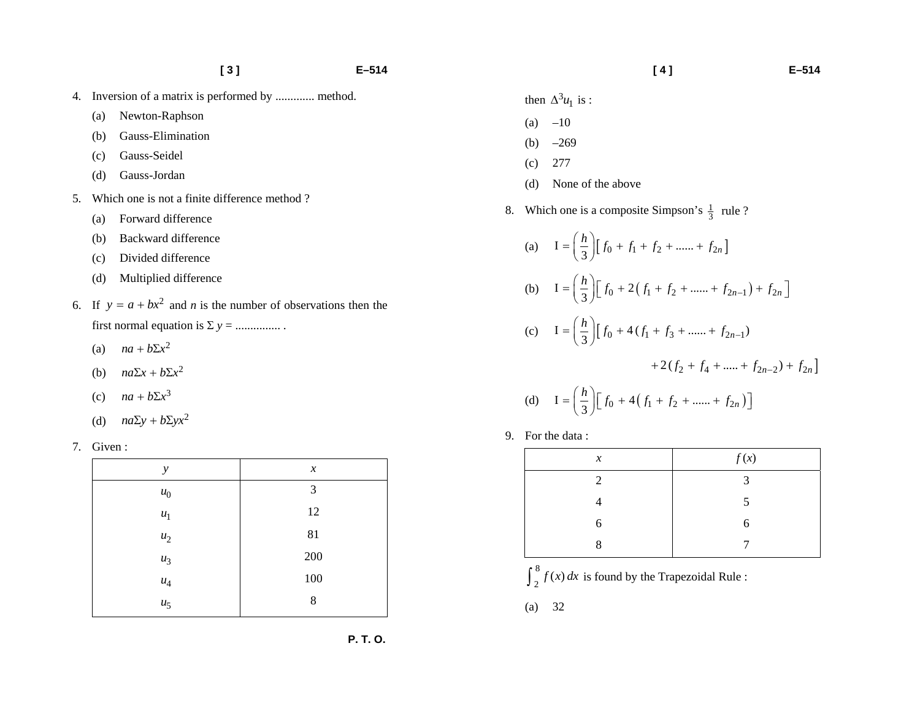- 4. Inversion of a matrix is performed by ............. method.
	- (a) Newton-Raphson
	- (b) Gauss-Elimination
	- (c) Gauss-Seidel
	- (d) Gauss-Jordan
- 5. Which one is not a finite difference method ?
	- (a) Forward difference
	- (b) Backward difference
	- (c) Divided difference
	- (d) Multiplied difference
- 6. If  $y = a + bx^2$  and *n* is the number of observations then the first normal equation is  $\Sigma$   $y =$  ..................
	- (a)  $na + b\Sigma x^2$
	- (b)  $na\Sigma x + b\Sigma x^2$
	- (c)  $na + b\Sigma x^3$
	- (d)  $na\Sigma y + b\Sigma yx^2$

7. Given :

| $\mathcal{Y}$      | $\boldsymbol{x}$ |
|--------------------|------------------|
| $u_0$              | 3                |
| $u_1$              | 12               |
| $\boldsymbol{u}_2$ | 81               |
| $u_3$              | $200\,$          |
| $\boldsymbol{u}_4$ | $100\,$          |
| $u_5$              | 8                |

- $(a) -10$
- (b)  $-269$
- (c) 277
- (d) None of the above
- 8. Which one is a composite Simpson's  $\frac{1}{3}$  rule ?

(a) 
$$
I = \left(\frac{h}{3}\right) \left[ f_0 + f_1 + f_2 + \dots + f_{2n} \right]
$$
  
\n(b) 
$$
I = \left(\frac{h}{3}\right) \left[ f_0 + 2 \left( f_1 + f_2 + \dots + f_{2n-1} \right) + f_{2n} \right]
$$
  
\n(c) 
$$
I = \left(\frac{h}{3}\right) \left[ f_0 + 4 \left( f_1 + f_3 + \dots + f_{2n-1} \right) + 2 \left( f_2 + f_4 + \dots + f_{2n-2} \right) + f_{2n} \right]
$$
  
\n(d) 
$$
I = \left(\frac{h}{3}\right) \left[ f_0 + 4 \left( f_1 + f_2 + \dots + f_{2n} \right) \right]
$$

9. For the data :

| $\boldsymbol{x}$ | f(x)          |
|------------------|---------------|
| 2                | $\mathcal{R}$ |
| 4                | 5             |
| 6                | 6             |
| 8                |               |

 $\int_{2}^{8} f(x) dx$  is found by the Trapezoidal Rule :

(a) 32

# **[ 4 ] E–514**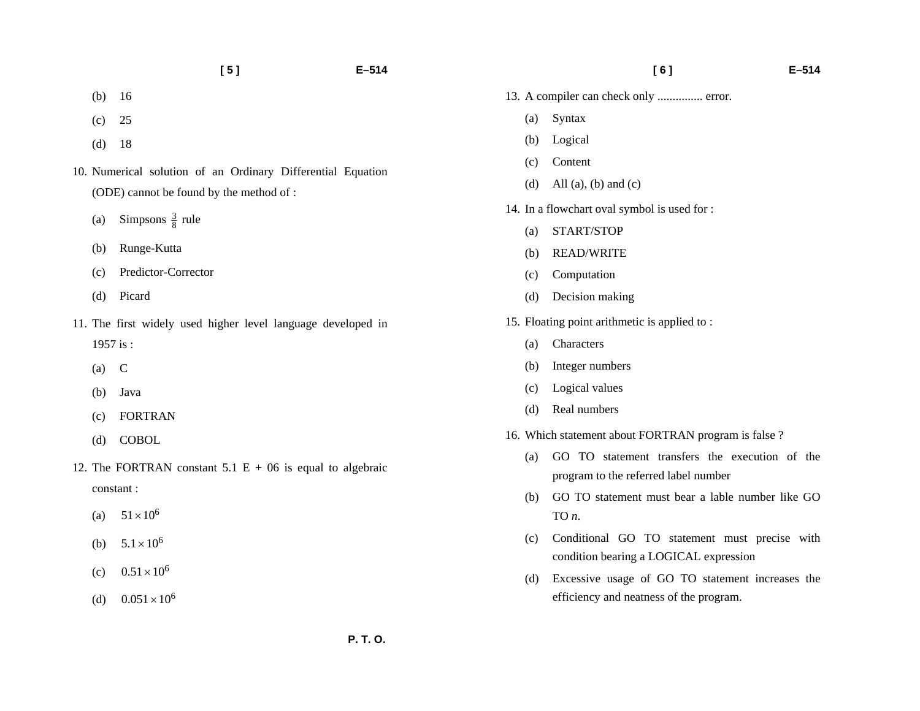- (b) 16
- (c) 25
- (d) 18
- 10. Numerical solution of an Ordinary Differential Equation (ODE) cannot be found by the method of :
	- (a) Simpsons  $\frac{3}{8}$  rule
	- (b) Runge-Kutta
	- (c) Predictor-Corrector
	- (d) Picard
- 11. The first widely used higher level language developed in 1957 is :
	- $(a)$  C
	- (b) Java
	- (c) FORTRAN
	- (d) COBOL
- 12. The FORTRAN constant 5.1  $E + 06$  is equal to algebraic constant :
	- (a)  $51 \times 10^6$
	- (b)  $5.1 \times 10^6$
	- (c)  $0.51 \times 10^6$
	- (d)  $0.051 \times 10^6$
- **[ 6 ] E–514**
- 13. A compiler can check only ............... error.
	- (a) Syntax
	- (b) Logical
	- (c) Content
	- (d) All (a), (b) and (c)
- 14. In a flowchart oval symbol is used for :
	- (a) START/STOP
	- (b) READ/WRITE
	- (c) Computation
	- (d) Decision making
- 15. Floating point arithmetic is applied to :
	- (a) Characters
	- (b) Integer numbers
	- (c) Logical values
	- (d) Real numbers
- 16. Which statement about FORTRAN program is false ?
	- (a) GO TO statement transfers the execution of the program to the referred label number
	- (b) GO TO statement must bear a lable number like GO TO *<sup>n</sup>*.
	- (c) Conditional GO TO statement must precise with condition bearing a LOGICAL expression
	- (d) Excessive usage of GO TO statement increases the efficiency and neatness of the program.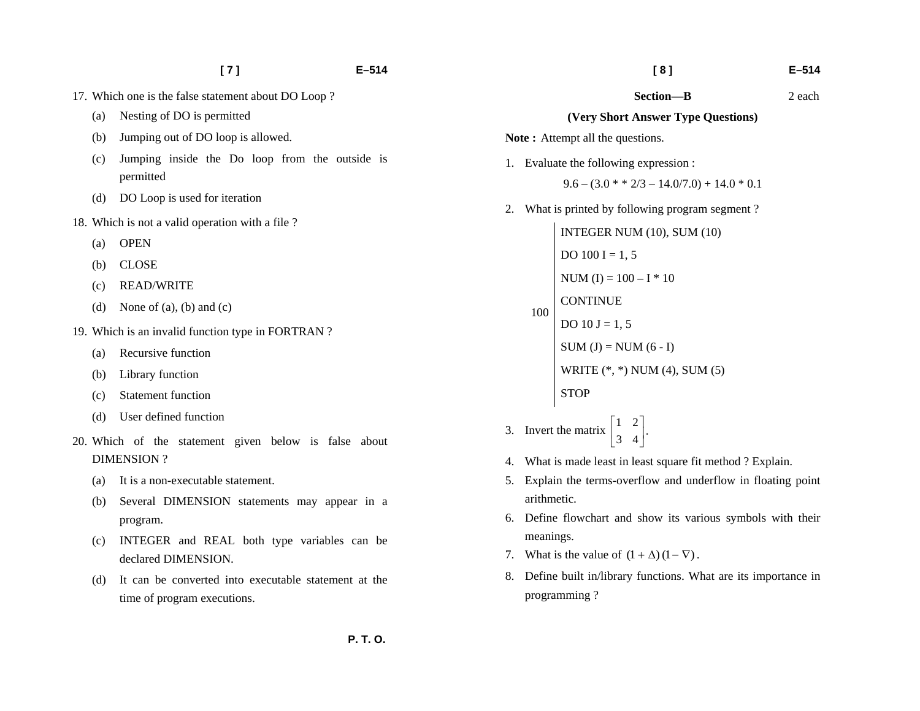- 17. Which one is the false statement about DO Loop ?
	- (a) Nesting of DO is permitted
	- (b) Jumping out of DO loop is allowed.
	- (c) Jumping inside the Do loop from the outside is permitted
	- (d) DO Loop is used for iteration
- 18. Which is not a valid operation with a file ?
	- (a) OPEN
	- (b) CLOSE
	- (c) READ/WRITE
	- (d) None of (a), (b) and (c)
- 19. Which is an invalid function type in FORTRAN ?
	- (a) Recursive function
	- (b) Library function
	- (c) Statement function
	- (d) User defined function
- 20. Which of the statement given below is false about DIMENSION ?
	- (a) It is a non-executable statement.
	- (b) Several DIMENSION statements may appear in a program.
	- (c) INTEGER and REAL both type variables can be declared DIMENSION.
	- (d) It can be converted into executable statement at the time of program executions.

 **Section—B** 2 each

#### **(Very Short Answer Type Questions)**

Note: Attempt all the questions.

1. Evaluate the following expression :

$$
9.6 - (3.0 * * 2/3 - 14.0/7.0) + 14.0 * 0.1
$$

2. What is printed by following program segment ?

100 INTEGER NUM (10), SUM (10) DO  $100 I = 1, 5$ NUM (I) =  $100 - I * 10$ **CONTINUE** DO  $10 J = 1, 5$  $SUM (J) = NUM (6 - I)$ WRITE (\*, \*) NUM (4), SUM (5) **STOP** 

- 3. Invert the matrix  $\begin{bmatrix} 1 & 2 \\ 3 & 4 \end{bmatrix}$ .
- 4. What is made least in least square fit method ? Explain.
- 5. Explain the terms-overflow and underflow in floating point arithmetic.
- 6. Define flowchart and show its various symbols with their meanings.
- 7. What is the value of  $(1 + \Delta) (1 \nabla)$ .
- 8. Define built in/library functions. What are its importance in programming ?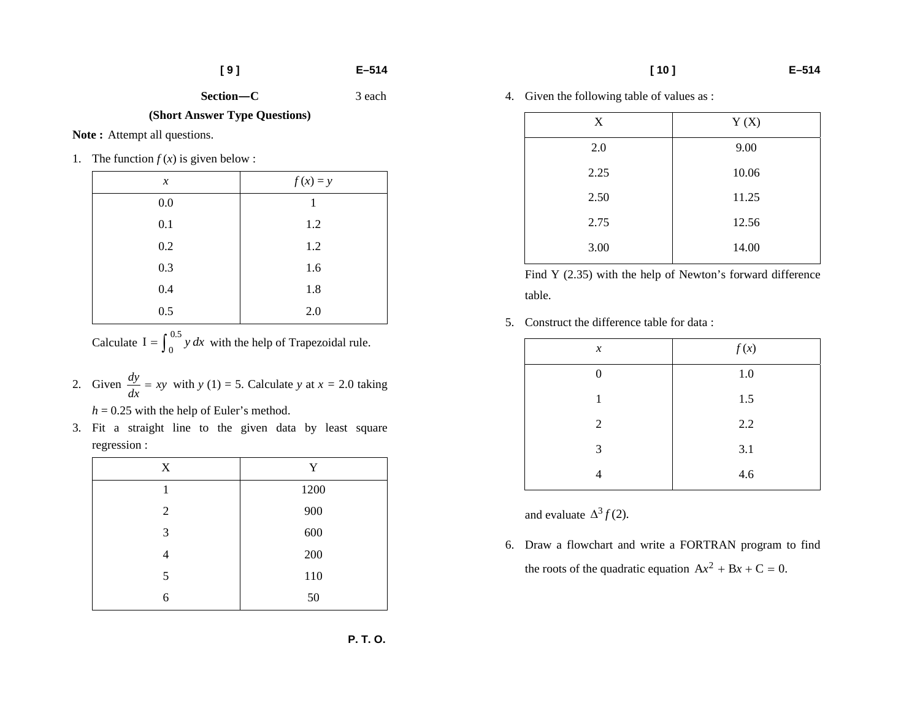3 each

**Section–C** 

**(Short Answer Type Questions)** 

Note: Attempt all questions.

1. The function  $f(x)$  is given below :

| $\boldsymbol{x}$ | $f(x) = y$ |
|------------------|------------|
| $0.0\,$          | 1          |
| 0.1              | 1.2        |
| 0.2              | 1.2        |
| 0.3              | 1.6        |
| 0.4              | 1.8        |
| 0.5              | 2.0        |

Calculate  $I = \int_0^{0.5} y \, dx$  with the help of Trapezoidal rule.

2. Given  $\frac{dy}{dx} = xy$  with  $y(1) = 5$ . Calculate  $y$  at  $x = 2.0$  taking

 $h = 0.25$  with the help of Euler's method.

3. Fit a straight line to the given data by least square regression :

| X | Y    |
|---|------|
| 1 | 1200 |
| 2 | 900  |
| 3 | 600  |
| 4 | 200  |
| 5 | 110  |
| 6 | 50   |

4. Given the following table of values as :

| X    | Y(X)  |
|------|-------|
| 2.0  | 9.00  |
| 2.25 | 10.06 |
| 2.50 | 11.25 |
| 2.75 | 12.56 |
| 3.00 | 14.00 |

Find Y (2.35) with the help of Newton's forward difference table.

5. Construct the difference table for data :

| $\boldsymbol{x}$ | f(x)    |
|------------------|---------|
| $\overline{0}$   | 1.0     |
| 1                | 1.5     |
| $\mathfrak{2}$   | $2.2\,$ |
| 3                | 3.1     |
| 4                | 4.6     |

and evaluate  $\Delta^3 f(2)$ .

6. Draw a flowchart and write a FORTRAN program to find the roots of the quadratic equation  $Ax^{2} + Bx + C = 0$ .